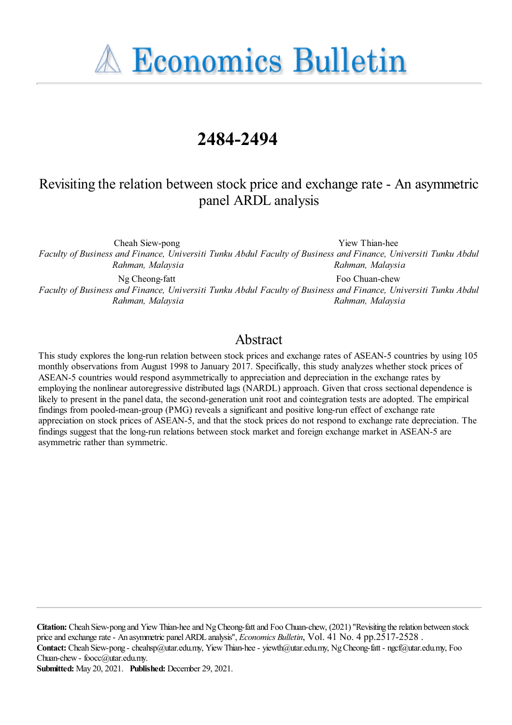**A Economics Bulletin** 

# **2484-2494**

# Revisiting the relation between stock price and exchange rate - An asymmetric panel ARDL analysis

Cheah Siew-pong

*Faculty of Business and Finance, Universiti Tunku Abdul Faculty of Business and Finance, Universiti Tunku Abdul Rahman, Malaysia Rahman, Malaysia*

Yiew Thian-hee

Foo Chuan-chew

Ng Cheong-fatt

*Faculty of Business and Finance, Universiti Tunku Abdul Faculty of Business and Finance, Universiti Tunku Abdul Rahman, Malaysia Rahman, Malaysia*

# Abstract

This study explores the long-run relation between stock prices and exchange rates of ASEAN-5 countries by using 105 monthly observations from August 1998 to January 2017. Specifically, this study analyzes whether stock prices of ASEAN-5 countries would respond asymmetrically to appreciation and depreciation in the exchange rates by employing the nonlinear autoregressive distributed lags (NARDL) approach. Given that cross sectional dependence is likely to present in the panel data, the second-generation unit root and cointegration tests are adopted. The empirical findings from pooled-mean-group (PMG) reveals a significant and positive long-run effect of exchange rate appreciation on stock prices of ASEAN-5, and that the stock prices do not respond to exchange rate depreciation. The findings suggest that the long-run relations between stock market and foreign exchange market in ASEAN-5 are asymmetric rather than symmetric.

**Citation:** Cheah Siew-pong and YiewThian-heeand NgCheong-fattand Foo Chuan-chew, (2021) ''Revisiting therelation between stock priceand exchangerate- An asymmetric panelARDL analysis'', *Economics Bulletin*, Vol. 41 No. 4 pp.2517-2528 . **Contact:** Cheah Siew-pong - cheahsp@utar.edu.my, YiewThian-hee- yiewth@utar.edu.my, NgCheong-fatt - ngcf@utar.edu.my, Foo Chuan-chew- foocc@utar.edu.my.

**Submitted:** May 20, 2021. **Published:** December 29, 2021.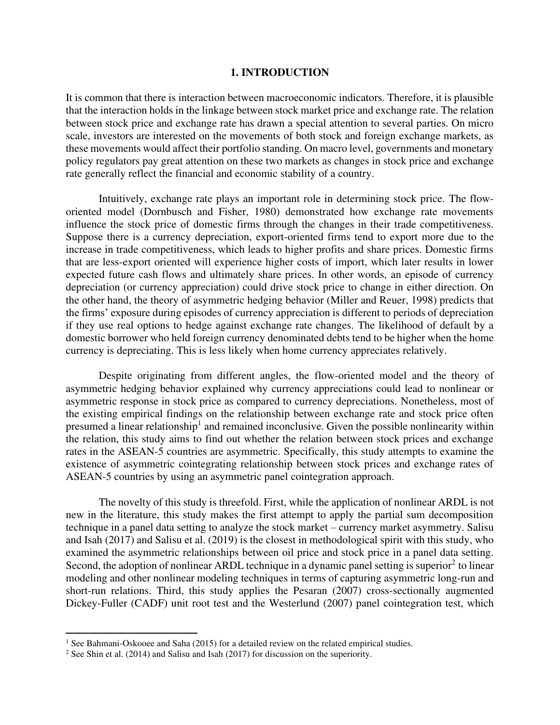### **1. INTRODUCTION**

It is common that there is interaction between macroeconomic indicators. Therefore, it is plausible that the interaction holds in the linkage between stock market price and exchange rate. The relation between stock price and exchange rate has drawn a special attention to several parties. On micro scale, investors are interested on the movements of both stock and foreign exchange markets, as these movements would affect their portfolio standing. On macro level, governments and monetary policy regulators pay great attention on these two markets as changes in stock price and exchange rate generally reflect the financial and economic stability of a country.

Intuitively, exchange rate plays an important role in determining stock price. The floworiented model (Dornbusch and Fisher, 1980) demonstrated how exchange rate movements influence the stock price of domestic firms through the changes in their trade competitiveness. Suppose there is a currency depreciation, export-oriented firms tend to export more due to the increase in trade competitiveness, which leads to higher profits and share prices. Domestic firms that are less-export oriented will experience higher costs of import, which later results in lower expected future cash flows and ultimately share prices. In other words, an episode of currency depreciation (or currency appreciation) could drive stock price to change in either direction. On the other hand, the theory of asymmetric hedging behavior (Miller and Reuer, 1998) predicts that the firms' exposure during episodes of currency appreciation is different to periods of depreciation if they use real options to hedge against exchange rate changes. The likelihood of default by a domestic borrower who held foreign currency denominated debts tend to be higher when the home currency is depreciating. This is less likely when home currency appreciates relatively.

Despite originating from different angles, the flow-oriented model and the theory of asymmetric hedging behavior explained why currency appreciations could lead to nonlinear or asymmetric response in stock price as compared to currency depreciations. Nonetheless, most of the existing empirical findings on the relationship between exchange rate and stock price often presumed a linear relationship<sup>1</sup> and remained inconclusive. Given the possible nonlinearity within the relation, this study aims to find out whether the relation between stock prices and exchange rates in the ASEAN-5 countries are asymmetric. Specifically, this study attempts to examine the existence of asymmetric cointegrating relationship between stock prices and exchange rates of ASEAN-5 countries by using an asymmetric panel cointegration approach.

The novelty of this study is threefold. First, while the application of nonlinear ARDL is not new in the literature, this study makes the first attempt to apply the partial sum decomposition technique in a panel data setting to analyze the stock market – currency market asymmetry. Salisu and Isah (2017) and Salisu et al. (2019) is the closest in methodological spirit with this study, who examined the asymmetric relationships between oil price and stock price in a panel data setting. Second, the adoption of nonlinear ARDL technique in a dynamic panel setting is superior<sup>2</sup> to linear modeling and other nonlinear modeling techniques in terms of capturing asymmetric long-run and short-run relations. Third, this study applies the Pesaran (2007) cross-sectionally augmented Dickey-Fuller (CADF) unit root test and the Westerlund (2007) panel cointegration test, which

<sup>&</sup>lt;sup>1</sup> See Bahmani-Oskooee and Saha (2015) for a detailed review on the related empirical studies.

<sup>&</sup>lt;sup>2</sup> See Shin et al. (2014) and Salisu and Isah (2017) for discussion on the superiority.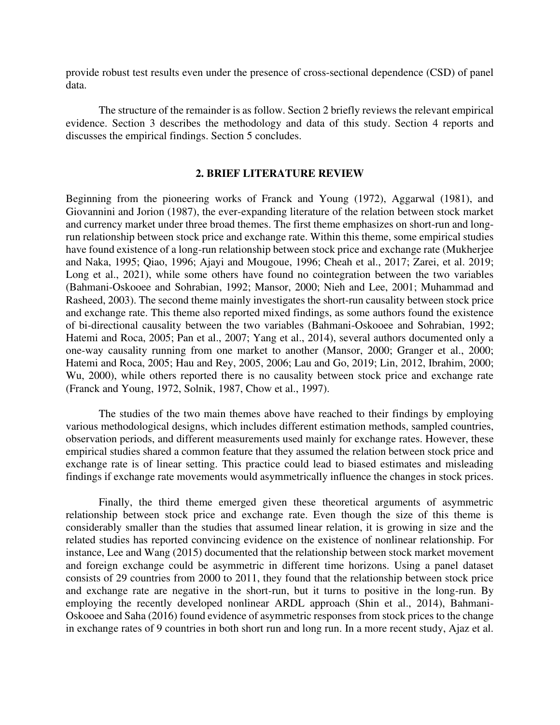provide robust test results even under the presence of cross-sectional dependence (CSD) of panel data.

 The structure of the remainder is as follow. Section 2 briefly reviews the relevant empirical evidence. Section 3 describes the methodology and data of this study. Section 4 reports and discusses the empirical findings. Section 5 concludes.

# **2. BRIEF LITERATURE REVIEW**

Beginning from the pioneering works of Franck and Young (1972), Aggarwal (1981), and Giovannini and Jorion (1987), the ever-expanding literature of the relation between stock market and currency market under three broad themes. The first theme emphasizes on short-run and longrun relationship between stock price and exchange rate. Within this theme, some empirical studies have found existence of a long-run relationship between stock price and exchange rate (Mukherjee and Naka, 1995; Qiao, 1996; Ajayi and Mougoue, 1996; Cheah et al., 2017; Zarei, et al. 2019; Long et al., 2021), while some others have found no cointegration between the two variables (Bahmani-Oskooee and Sohrabian, 1992; Mansor, 2000; Nieh and Lee, 2001; Muhammad and Rasheed, 2003). The second theme mainly investigates the short-run causality between stock price and exchange rate. This theme also reported mixed findings, as some authors found the existence of bi-directional causality between the two variables (Bahmani-Oskooee and Sohrabian, 1992; Hatemi and Roca, 2005; Pan et al., 2007; Yang et al., 2014), several authors documented only a one-way causality running from one market to another (Mansor, 2000; Granger et al., 2000; Hatemi and Roca, 2005; Hau and Rey, 2005, 2006; Lau and Go, 2019; Lin, 2012, Ibrahim, 2000; Wu, 2000), while others reported there is no causality between stock price and exchange rate (Franck and Young, 1972, Solnik, 1987, Chow et al., 1997).

The studies of the two main themes above have reached to their findings by employing various methodological designs, which includes different estimation methods, sampled countries, observation periods, and different measurements used mainly for exchange rates. However, these empirical studies shared a common feature that they assumed the relation between stock price and exchange rate is of linear setting. This practice could lead to biased estimates and misleading findings if exchange rate movements would asymmetrically influence the changes in stock prices.

 Finally, the third theme emerged given these theoretical arguments of asymmetric relationship between stock price and exchange rate. Even though the size of this theme is considerably smaller than the studies that assumed linear relation, it is growing in size and the related studies has reported convincing evidence on the existence of nonlinear relationship. For instance, Lee and Wang (2015) documented that the relationship between stock market movement and foreign exchange could be asymmetric in different time horizons. Using a panel dataset consists of 29 countries from 2000 to 2011, they found that the relationship between stock price and exchange rate are negative in the short-run, but it turns to positive in the long-run. By employing the recently developed nonlinear ARDL approach (Shin et al., 2014), Bahmani-Oskooee and Saha (2016) found evidence of asymmetric responses from stock prices to the change in exchange rates of 9 countries in both short run and long run. In a more recent study, Ajaz et al.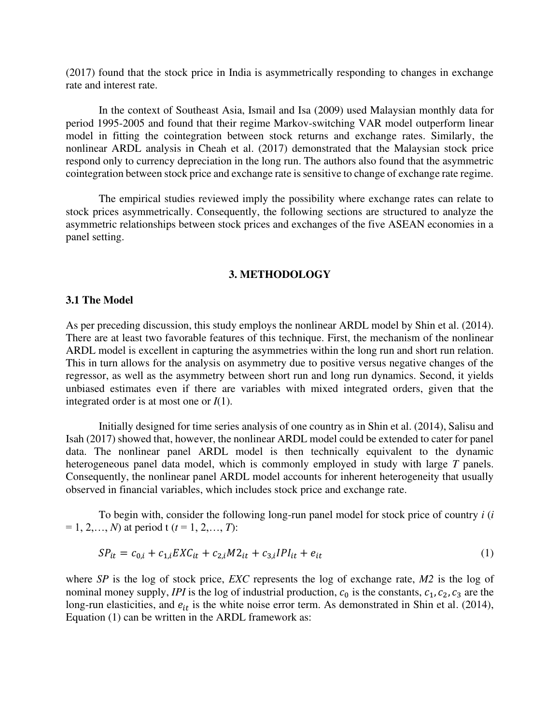(2017) found that the stock price in India is asymmetrically responding to changes in exchange rate and interest rate.

In the context of Southeast Asia, Ismail and Isa (2009) used Malaysian monthly data for period 1995-2005 and found that their regime Markov-switching VAR model outperform linear model in fitting the cointegration between stock returns and exchange rates. Similarly, the nonlinear ARDL analysis in Cheah et al. (2017) demonstrated that the Malaysian stock price respond only to currency depreciation in the long run. The authors also found that the asymmetric cointegration between stock price and exchange rate is sensitive to change of exchange rate regime.

 The empirical studies reviewed imply the possibility where exchange rates can relate to stock prices asymmetrically. Consequently, the following sections are structured to analyze the asymmetric relationships between stock prices and exchanges of the five ASEAN economies in a panel setting.

# **3. METHODOLOGY**

#### **3.1 The Model**

As per preceding discussion, this study employs the nonlinear ARDL model by Shin et al. (2014). There are at least two favorable features of this technique. First, the mechanism of the nonlinear ARDL model is excellent in capturing the asymmetries within the long run and short run relation. This in turn allows for the analysis on asymmetry due to positive versus negative changes of the regressor, as well as the asymmetry between short run and long run dynamics. Second, it yields unbiased estimates even if there are variables with mixed integrated orders, given that the integrated order is at most one or *I*(1).

 Initially designed for time series analysis of one country as in Shin et al. (2014), Salisu and Isah (2017) showed that, however, the nonlinear ARDL model could be extended to cater for panel data. The nonlinear panel ARDL model is then technically equivalent to the dynamic heterogeneous panel data model, which is commonly employed in study with large *T* panels. Consequently, the nonlinear panel ARDL model accounts for inherent heterogeneity that usually observed in financial variables, which includes stock price and exchange rate.

 To begin with, consider the following long-run panel model for stock price of country *i* (*i*   $= 1, 2, \ldots, N$  at period t ( $t = 1, 2, \ldots, T$ ):

$$
SP_{it} = c_{0,i} + c_{1,i} EXC_{it} + c_{2,i} M2_{it} + c_{3,i} IPI_{it} + e_{it}
$$
\n(1)

where *SP* is the log of stock price, *EXC* represents the log of exchange rate, *M2* is the log of nominal money supply, *IPI* is the log of industrial production,  $c_0$  is the constants,  $c_1$ ,  $c_2$ ,  $c_3$  are the long-run elasticities, and  $e_{it}$  is the white noise error term. As demonstrated in Shin et al. (2014), Equation (1) can be written in the ARDL framework as: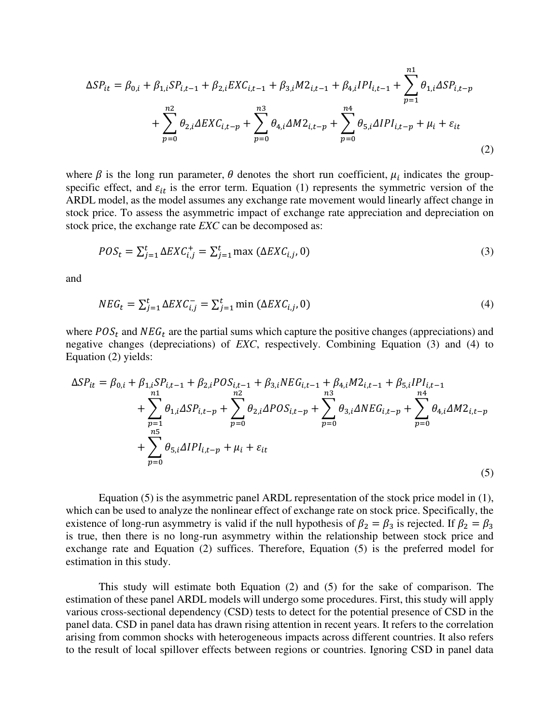$$
\Delta SP_{it} = \beta_{0,i} + \beta_{1,i} SP_{i,t-1} + \beta_{2,i} EXC_{i,t-1} + \beta_{3,i} M2_{i,t-1} + \beta_{4,i} IPI_{i,t-1} + \sum_{p=1}^{n1} \theta_{1,i} \Delta SP_{i,t-p} + \sum_{p=0}^{n2} \theta_{2,i} \Delta EXC_{i,t-p} + \sum_{p=0}^{n3} \theta_{4,i} \Delta M2_{i,t-p} + \sum_{p=0}^{n4} \theta_{5,i} \Delta IPI_{i,t-p} + \mu_i + \varepsilon_{it}
$$
\n(2)

where  $\beta$  is the long run parameter,  $\theta$  denotes the short run coefficient,  $\mu_i$  indicates the groupspecific effect, and  $\varepsilon_{it}$  is the error term. Equation (1) represents the symmetric version of the ARDL model, as the model assumes any exchange rate movement would linearly affect change in stock price. To assess the asymmetric impact of exchange rate appreciation and depreciation on stock price, the exchange rate *EXC* can be decomposed as:

$$
POS_{t} = \sum_{j=1}^{t} \Delta EXC_{i,j}^{+} = \sum_{j=1}^{t} \max (\Delta EXC_{i,j}, 0)
$$
\n(3)

and

$$
NEG_{t} = \sum_{j=1}^{t} \Delta EXC_{i,j}^{-} = \sum_{j=1}^{t} \min(\Delta EXC_{i,j}, 0)
$$
\n
$$
(4)
$$

where  $POS_t$  and  $NEG_t$  are the partial sums which capture the positive changes (appreciations) and negative changes (depreciations) of *EXC*, respectively. Combining Equation (3) and (4) to Equation (2) yields:

$$
\Delta SP_{it} = \beta_{0,i} + \beta_{1,i} SP_{i,t-1} + \beta_{2,i} POS_{i,t-1} + \beta_{3,i} NEG_{i,t-1} + \beta_{4,i} M2_{i,t-1} + \beta_{5,i} IPI_{i,t-1}
$$
  
+ 
$$
\sum_{p=1}^{n1} \theta_{1,i} \Delta SP_{i,t-p} + \sum_{p=0}^{n2} \theta_{2,i} \Delta POS_{i,t-p} + \sum_{p=0}^{n3} \theta_{3,i} \Delta NEG_{i,t-p} + \sum_{p=0}^{n4} \theta_{4,i} \Delta M2_{i,t-p}
$$
  
+ 
$$
\sum_{p=0}^{n5} \theta_{5,i} \Delta IPI_{i,t-p} + \mu_i + \varepsilon_{it}
$$
 (5)

 Equation (5) is the asymmetric panel ARDL representation of the stock price model in (1), which can be used to analyze the nonlinear effect of exchange rate on stock price. Specifically, the existence of long-run asymmetry is valid if the null hypothesis of  $\beta_2 = \beta_3$  is rejected. If  $\beta_2 = \beta_3$ is true, then there is no long-run asymmetry within the relationship between stock price and exchange rate and Equation (2) suffices. Therefore, Equation (5) is the preferred model for estimation in this study.

 This study will estimate both Equation (2) and (5) for the sake of comparison. The estimation of these panel ARDL models will undergo some procedures. First, this study will apply various cross-sectional dependency (CSD) tests to detect for the potential presence of CSD in the panel data. CSD in panel data has drawn rising attention in recent years. It refers to the correlation arising from common shocks with heterogeneous impacts across different countries. It also refers to the result of local spillover effects between regions or countries. Ignoring CSD in panel data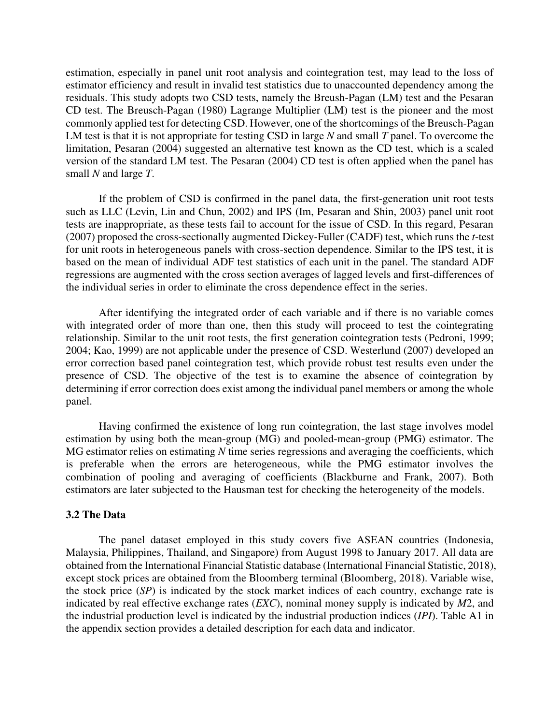estimation, especially in panel unit root analysis and cointegration test, may lead to the loss of estimator efficiency and result in invalid test statistics due to unaccounted dependency among the residuals. This study adopts two CSD tests, namely the Breush-Pagan (LM) test and the Pesaran CD test. The Breusch-Pagan (1980) Lagrange Multiplier (LM) test is the pioneer and the most commonly applied test for detecting CSD. However, one of the shortcomings of the Breusch-Pagan LM test is that it is not appropriate for testing CSD in large *N* and small *T* panel. To overcome the limitation, Pesaran (2004) suggested an alternative test known as the CD test, which is a scaled version of the standard LM test. The Pesaran (2004) CD test is often applied when the panel has small *N* and large *T*.

If the problem of CSD is confirmed in the panel data, the first-generation unit root tests such as LLC (Levin, Lin and Chun, 2002) and IPS (Im, Pesaran and Shin, 2003) panel unit root tests are inappropriate, as these tests fail to account for the issue of CSD. In this regard, Pesaran (2007) proposed the cross-sectionally augmented Dickey-Fuller (CADF) test, which runs the *t*-test for unit roots in heterogeneous panels with cross-section dependence. Similar to the IPS test, it is based on the mean of individual ADF test statistics of each unit in the panel. The standard ADF regressions are augmented with the cross section averages of lagged levels and first-differences of the individual series in order to eliminate the cross dependence effect in the series.

 After identifying the integrated order of each variable and if there is no variable comes with integrated order of more than one, then this study will proceed to test the cointegrating relationship. Similar to the unit root tests, the first generation cointegration tests (Pedroni, 1999; 2004; Kao, 1999) are not applicable under the presence of CSD. Westerlund (2007) developed an error correction based panel cointegration test, which provide robust test results even under the presence of CSD. The objective of the test is to examine the absence of cointegration by determining if error correction does exist among the individual panel members or among the whole panel.

Having confirmed the existence of long run cointegration, the last stage involves model estimation by using both the mean-group (MG) and pooled-mean-group (PMG) estimator. The MG estimator relies on estimating *N* time series regressions and averaging the coefficients, which is preferable when the errors are heterogeneous, while the PMG estimator involves the combination of pooling and averaging of coefficients (Blackburne and Frank, 2007). Both estimators are later subjected to the Hausman test for checking the heterogeneity of the models.

# **3.2 The Data**

 The panel dataset employed in this study covers five ASEAN countries (Indonesia, Malaysia, Philippines, Thailand, and Singapore) from August 1998 to January 2017. All data are obtained from the International Financial Statistic database (International Financial Statistic, 2018), except stock prices are obtained from the Bloomberg terminal (Bloomberg, 2018). Variable wise, the stock price (*SP*) is indicated by the stock market indices of each country, exchange rate is indicated by real effective exchange rates (*EXC*), nominal money supply is indicated by *M*2, and the industrial production level is indicated by the industrial production indices (*IPI*). Table A1 in the appendix section provides a detailed description for each data and indicator.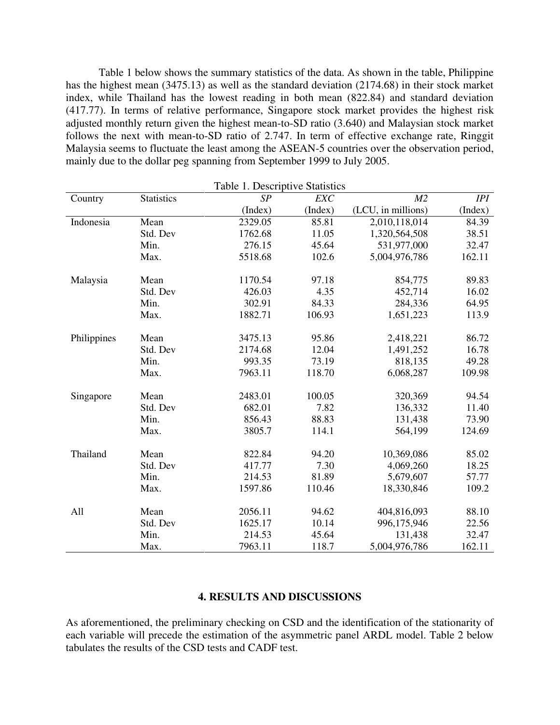Table 1 below shows the summary statistics of the data. As shown in the table, Philippine has the highest mean (3475.13) as well as the standard deviation (2174.68) in their stock market index, while Thailand has the lowest reading in both mean (822.84) and standard deviation (417.77). In terms of relative performance, Singapore stock market provides the highest risk adjusted monthly return given the highest mean-to-SD ratio (3.640) and Malaysian stock market follows the next with mean-to-SD ratio of 2.747. In term of effective exchange rate, Ringgit Malaysia seems to fluctuate the least among the ASEAN-5 countries over the observation period, mainly due to the dollar peg spanning from September 1999 to July 2005.

| Table 1. Descriptive Statistics |                   |         |         |                    |         |
|---------------------------------|-------------------|---------|---------|--------------------|---------|
| Country                         | <b>Statistics</b> | SP      | EXC     | M <sub>2</sub>     | IPI     |
|                                 |                   | (Index) | (Index) | (LCU, in millions) | (Index) |
| Indonesia                       | Mean              | 2329.05 | 85.81   | 2,010,118,014      | 84.39   |
|                                 | Std. Dev          | 1762.68 | 11.05   | 1,320,564,508      | 38.51   |
|                                 | Min.              | 276.15  | 45.64   | 531,977,000        | 32.47   |
|                                 | Max.              | 5518.68 | 102.6   | 5,004,976,786      | 162.11  |
| Malaysia                        | Mean              | 1170.54 | 97.18   | 854,775            | 89.83   |
|                                 | Std. Dev          | 426.03  | 4.35    | 452,714            | 16.02   |
|                                 | Min.              | 302.91  | 84.33   | 284,336            | 64.95   |
|                                 | Max.              | 1882.71 | 106.93  | 1,651,223          | 113.9   |
| Philippines                     | Mean              | 3475.13 | 95.86   | 2,418,221          | 86.72   |
|                                 | Std. Dev          | 2174.68 | 12.04   | 1,491,252          | 16.78   |
|                                 | Min.              | 993.35  | 73.19   | 818,135            | 49.28   |
|                                 | Max.              | 7963.11 | 118.70  | 6,068,287          | 109.98  |
| Singapore                       | Mean              | 2483.01 | 100.05  | 320,369            | 94.54   |
|                                 | Std. Dev          | 682.01  | 7.82    | 136,332            | 11.40   |
|                                 | Min.              | 856.43  | 88.83   | 131,438            | 73.90   |
|                                 | Max.              | 3805.7  | 114.1   | 564,199            | 124.69  |
| Thailand                        | Mean              | 822.84  | 94.20   | 10,369,086         | 85.02   |
|                                 | Std. Dev          | 417.77  | 7.30    | 4,069,260          | 18.25   |
|                                 | Min.              | 214.53  | 81.89   | 5,679,607          | 57.77   |
|                                 | Max.              | 1597.86 | 110.46  | 18,330,846         | 109.2   |
| All                             | Mean              | 2056.11 | 94.62   | 404,816,093        | 88.10   |
|                                 |                   | 1625.17 | 10.14   | 996,175,946        |         |
|                                 | Std. Dev          |         |         |                    | 22.56   |
|                                 | Min.              | 214.53  | 45.64   | 131,438            | 32.47   |
|                                 | Max.              | 7963.11 | 118.7   | 5,004,976,786      | 162.11  |

# **4. RESULTS AND DISCUSSIONS**

As aforementioned, the preliminary checking on CSD and the identification of the stationarity of each variable will precede the estimation of the asymmetric panel ARDL model. Table 2 below tabulates the results of the CSD tests and CADF test.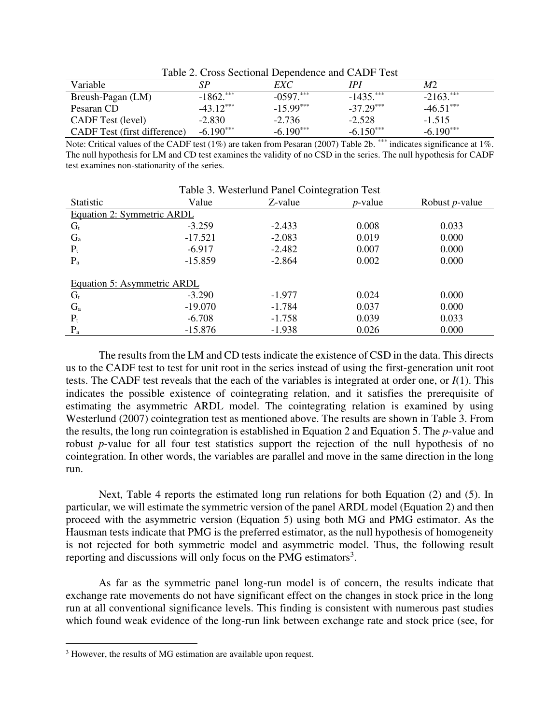|                              |              | Table 2. Cross Securinal Dependence and CADI Test |              |             |
|------------------------------|--------------|---------------------------------------------------|--------------|-------------|
| Variable                     | SР           | EXC                                               | IPI          | M2          |
| Breush-Pagan (LM)            | $-1862$ .*** | $-0.597$ .                                        | $-1435$ .*** | $-2163$ .   |
| Pesaran CD                   | $-43.12***$  | $-15.99***$                                       | $-37.29***$  | $-46.51***$ |
| <b>CADF</b> Test (level)     | $-2.830$     | $-2.736$                                          | $-2.528$     | $-1.515$    |
| CADF Test (first difference) | $-6.190***$  | $-6.190***$                                       | $-6.150***$  | $-6.190***$ |

Table 2. Cross Sectional Dependence and CADF Test

Note: Critical values of the CADF test  $(1\%)$  are taken from Pesaran (2007) Table 2b. \*\*\* indicates significance at 1%. The null hypothesis for LM and CD test examines the validity of no CSD in the series. The null hypothesis for CADF test examines non-stationarity of the series.

|                             |           | Table 3. Westerlund Panel Cointegration Test |                 |                        |
|-----------------------------|-----------|----------------------------------------------|-----------------|------------------------|
| Statistic                   | Value     | Z-value                                      | <i>p</i> -value | Robust <i>p</i> -value |
| Equation 2: Symmetric ARDL  |           |                                              |                 |                        |
| $G_t$                       | $-3.259$  | $-2.433$                                     | 0.008           | 0.033                  |
| $G_{a}$                     | $-17.521$ | $-2.083$                                     | 0.019           | 0.000                  |
| $P_t$                       | $-6.917$  | $-2.482$                                     | 0.007           | 0.000                  |
| $P_{a}$                     | $-15.859$ | $-2.864$                                     | 0.002           | 0.000                  |
| Equation 5: Asymmetric ARDL |           |                                              |                 |                        |
| $G_t$                       | $-3.290$  | $-1.977$                                     | 0.024           | 0.000                  |
| $G_{a}$                     | $-19.070$ | $-1.784$                                     | 0.037           | 0.000                  |
| $P_t$                       | $-6.708$  | $-1.758$                                     | 0.039           | 0.033                  |
| $P_{a}$                     | $-15.876$ | $-1.938$                                     | 0.026           | 0.000                  |

The results from the LM and CD tests indicate the existence of CSD in the data. This directs us to the CADF test to test for unit root in the series instead of using the first-generation unit root tests. The CADF test reveals that the each of the variables is integrated at order one, or *I*(1). This indicates the possible existence of cointegrating relation, and it satisfies the prerequisite of estimating the asymmetric ARDL model. The cointegrating relation is examined by using Westerlund (2007) cointegration test as mentioned above. The results are shown in Table 3. From the results, the long run cointegration is established in Equation 2 and Equation 5. The *p*-value and robust *p*-value for all four test statistics support the rejection of the null hypothesis of no cointegration. In other words, the variables are parallel and move in the same direction in the long run.

Next, Table 4 reports the estimated long run relations for both Equation (2) and (5). In particular, we will estimate the symmetric version of the panel ARDL model (Equation 2) and then proceed with the asymmetric version (Equation 5) using both MG and PMG estimator. As the Hausman tests indicate that PMG is the preferred estimator, as the null hypothesis of homogeneity is not rejected for both symmetric model and asymmetric model. Thus, the following result reporting and discussions will only focus on the PMG estimators<sup>3</sup>.

As far as the symmetric panel long-run model is of concern, the results indicate that exchange rate movements do not have significant effect on the changes in stock price in the long run at all conventional significance levels. This finding is consistent with numerous past studies which found weak evidence of the long-run link between exchange rate and stock price (see, for

<sup>&</sup>lt;sup>3</sup> However, the results of MG estimation are available upon request.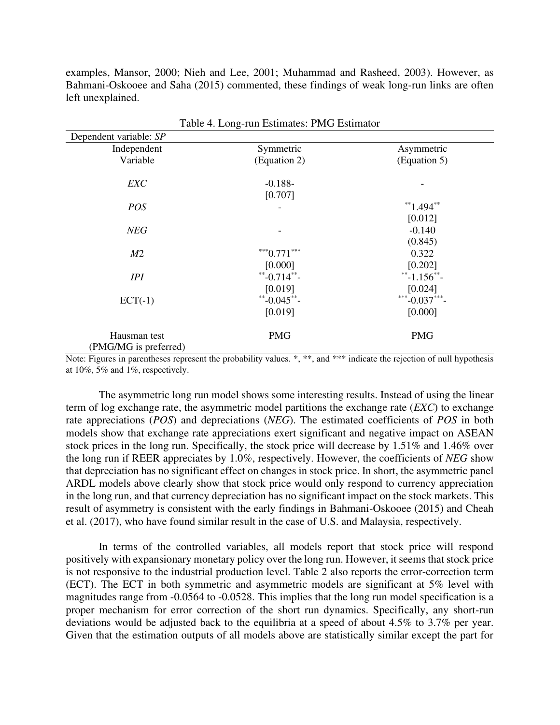examples, Mansor, 2000; Nieh and Lee, 2001; Muhammad and Rasheed, 2003). However, as Bahmani-Oskooee and Saha (2015) commented, these findings of weak long-run links are often left unexplained.

|                        | Table 4. Long-run Estimates: PMG Estimator |               |
|------------------------|--------------------------------------------|---------------|
| Dependent variable: SP |                                            |               |
| Independent            | Symmetric                                  | Asymmetric    |
| Variable               | (Equation 2)                               | (Equation 5)  |
| <b>EXC</b>             | $-0.188-$                                  |               |
|                        | [0.707]                                    |               |
| POS                    | -                                          | $*$ 1.494 $*$ |
|                        |                                            | [0.012]       |
| NEG                    |                                            | $-0.140$      |
|                        |                                            | (0.845)       |
| M <sub>2</sub>         | $***0.771***$                              | 0.322         |
|                        | [0.000]                                    | [0.202]       |
| IPI                    | **-0.714**-                                | **-1.156**-   |
|                        | [0.019]                                    | [0.024]       |
| $ECT(-1)$              | **-0.045**-                                | ***-0.037***- |
|                        | [0.019]                                    | [0.000]       |
| Hausman test           | <b>PMG</b>                                 | <b>PMG</b>    |
| (PMG/MG is preferred)  |                                            |               |

Note: Figures in parentheses represent the probability values.  $*, **$ , and  $***$  indicate the rejection of null hypothesis at 10%, 5% and 1%, respectively.

 The asymmetric long run model shows some interesting results. Instead of using the linear term of log exchange rate, the asymmetric model partitions the exchange rate (*EXC*) to exchange rate appreciations (*POS*) and depreciations (*NEG*). The estimated coefficients of *POS* in both models show that exchange rate appreciations exert significant and negative impact on ASEAN stock prices in the long run. Specifically, the stock price will decrease by 1.51% and 1.46% over the long run if REER appreciates by 1.0%, respectively. However, the coefficients of *NEG* show that depreciation has no significant effect on changes in stock price. In short, the asymmetric panel ARDL models above clearly show that stock price would only respond to currency appreciation in the long run, and that currency depreciation has no significant impact on the stock markets. This result of asymmetry is consistent with the early findings in Bahmani-Oskooee (2015) and Cheah et al. (2017), who have found similar result in the case of U.S. and Malaysia, respectively.

 In terms of the controlled variables, all models report that stock price will respond positively with expansionary monetary policy over the long run. However, it seems that stock price is not responsive to the industrial production level. Table 2 also reports the error-correction term (ECT). The ECT in both symmetric and asymmetric models are significant at 5% level with magnitudes range from -0.0564 to -0.0528. This implies that the long run model specification is a proper mechanism for error correction of the short run dynamics. Specifically, any short-run deviations would be adjusted back to the equilibria at a speed of about 4.5% to 3.7% per year. Given that the estimation outputs of all models above are statistically similar except the part for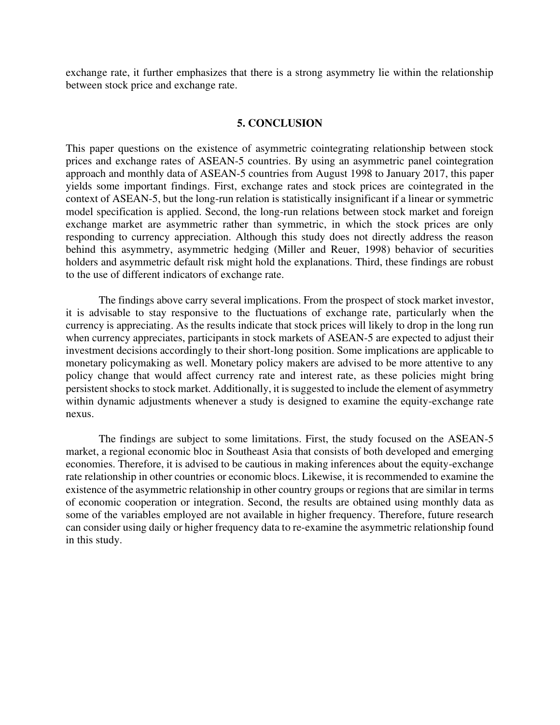exchange rate, it further emphasizes that there is a strong asymmetry lie within the relationship between stock price and exchange rate.

# **5. CONCLUSION**

This paper questions on the existence of asymmetric cointegrating relationship between stock prices and exchange rates of ASEAN-5 countries. By using an asymmetric panel cointegration approach and monthly data of ASEAN-5 countries from August 1998 to January 2017, this paper yields some important findings. First, exchange rates and stock prices are cointegrated in the context of ASEAN-5, but the long-run relation is statistically insignificant if a linear or symmetric model specification is applied. Second, the long-run relations between stock market and foreign exchange market are asymmetric rather than symmetric, in which the stock prices are only responding to currency appreciation. Although this study does not directly address the reason behind this asymmetry, asymmetric hedging (Miller and Reuer, 1998) behavior of securities holders and asymmetric default risk might hold the explanations. Third, these findings are robust to the use of different indicators of exchange rate.

The findings above carry several implications. From the prospect of stock market investor, it is advisable to stay responsive to the fluctuations of exchange rate, particularly when the currency is appreciating. As the results indicate that stock prices will likely to drop in the long run when currency appreciates, participants in stock markets of ASEAN-5 are expected to adjust their investment decisions accordingly to their short-long position. Some implications are applicable to monetary policymaking as well. Monetary policy makers are advised to be more attentive to any policy change that would affect currency rate and interest rate, as these policies might bring persistent shocks to stock market. Additionally, it is suggested to include the element of asymmetry within dynamic adjustments whenever a study is designed to examine the equity-exchange rate nexus.

The findings are subject to some limitations. First, the study focused on the ASEAN-5 market, a regional economic bloc in Southeast Asia that consists of both developed and emerging economies. Therefore, it is advised to be cautious in making inferences about the equity-exchange rate relationship in other countries or economic blocs. Likewise, it is recommended to examine the existence of the asymmetric relationship in other country groups or regions that are similar in terms of economic cooperation or integration. Second, the results are obtained using monthly data as some of the variables employed are not available in higher frequency. Therefore, future research can consider using daily or higher frequency data to re-examine the asymmetric relationship found in this study.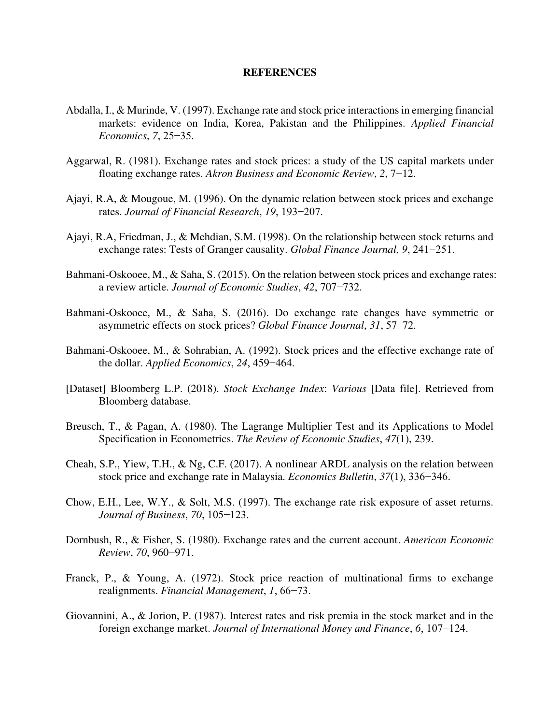### **REFERENCES**

- Abdalla, I., & Murinde, V. (1997). Exchange rate and stock price interactions in emerging financial markets: evidence on India, Korea, Pakistan and the Philippines. *Applied Financial Economics*, *7*, 25−35.
- Aggarwal, R. (1981). Exchange rates and stock prices: a study of the US capital markets under floating exchange rates. *Akron Business and Economic Review*, *2*, 7−12.
- Ajayi, R.A, & Mougoue, M. (1996). On the dynamic relation between stock prices and exchange rates. *Journal of Financial Research*, *19*, 193−207.
- Ajayi, R.A, Friedman, J., & Mehdian, S.M. (1998). On the relationship between stock returns and exchange rates: Tests of Granger causality. *Global Finance Journal, 9*, 241−251.
- Bahmani-Oskooee, M., & Saha, S. (2015). On the relation between stock prices and exchange rates: a review article. *Journal of Economic Studies*, *42*, 707−732.
- Bahmani-Oskooee, M., & Saha, S. (2016). Do exchange rate changes have symmetric or asymmetric effects on stock prices? *Global Finance Journal*, *31*, 57–72.
- Bahmani-Oskooee, M., & Sohrabian, A. (1992). Stock prices and the effective exchange rate of the dollar. *Applied Economics*, *24*, 459−464.
- [Dataset] Bloomberg L.P. (2018). *Stock Exchange Index*: *Various* [Data file]. Retrieved from Bloomberg database.
- Breusch, T., & Pagan, A. (1980). The Lagrange Multiplier Test and its Applications to Model Specification in Econometrics. *The Review of Economic Studies*, *47*(1), 239.
- Cheah, S.P., Yiew, T.H., & Ng, C.F. (2017). A nonlinear ARDL analysis on the relation between stock price and exchange rate in Malaysia. *Economics Bulletin*, *37*(1), 336−346.
- Chow, E.H., Lee, W.Y., & Solt, M.S. (1997). The exchange rate risk exposure of asset returns. *Journal of Business*, *70*, 105−123.
- Dornbush, R., & Fisher, S. (1980). Exchange rates and the current account. *American Economic Review*, *70*, 960−971.
- Franck, P., & Young, A. (1972). Stock price reaction of multinational firms to exchange realignments. *Financial Management*, *1*, 66−73.
- Giovannini, A., & Jorion, P. (1987). Interest rates and risk premia in the stock market and in the foreign exchange market. *Journal of International Money and Finance*, *6*, 107−124.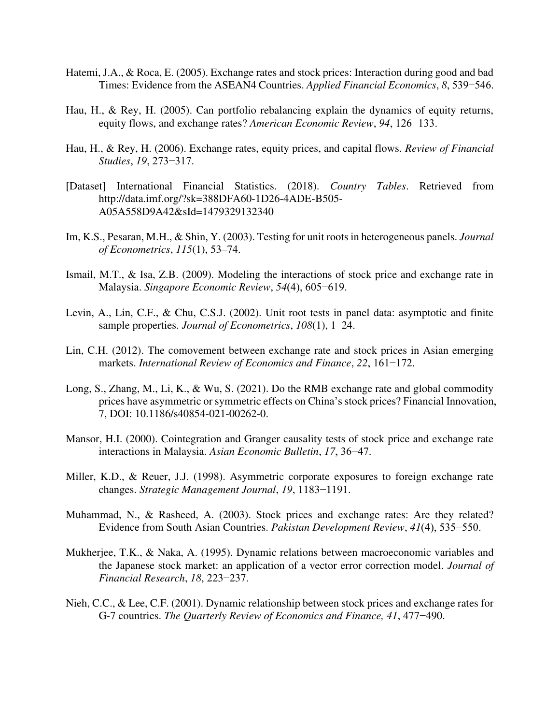- Hatemi, J.A., & Roca, E. (2005). Exchange rates and stock prices: Interaction during good and bad Times: Evidence from the ASEAN4 Countries. *Applied Financial Economics*, *8*, 539−546.
- Hau, H., & Rey, H. (2005). Can portfolio rebalancing explain the dynamics of equity returns, equity flows, and exchange rates? *American Economic Review*, *94*, 126−133.
- Hau, H., & Rey, H. (2006). Exchange rates, equity prices, and capital flows. *Review of Financial Studies*, *19*, 273−317.
- [Dataset] International Financial Statistics. (2018). *Country Tables*. Retrieved from http://data.imf.org/?sk=388DFA60-1D26-4ADE-B505- A05A558D9A42&sId=1479329132340
- Im, K.S., Pesaran, M.H., & Shin, Y. (2003). Testing for unit roots in heterogeneous panels. *Journal of Econometrics*, *115*(1), 53–74.
- Ismail, M.T., & Isa, Z.B. (2009). Modeling the interactions of stock price and exchange rate in Malaysia. *Singapore Economic Review*, *54*(4), 605−619.
- Levin, A., Lin, C.F., & Chu, C.S.J. (2002). Unit root tests in panel data: asymptotic and finite sample properties. *Journal of Econometrics*, *108*(1), 1–24.
- Lin, C.H. (2012). The comovement between exchange rate and stock prices in Asian emerging markets. *International Review of Economics and Finance*, *22*, 161−172.
- Long, S., Zhang, M., Li, K., & Wu, S. (2021). Do the RMB exchange rate and global commodity prices have asymmetric or symmetric effects on China's stock prices? Financial Innovation, 7, DOI: 10.1186/s40854-021-00262-0.
- Mansor, H.I. (2000). Cointegration and Granger causality tests of stock price and exchange rate interactions in Malaysia. *Asian Economic Bulletin*, *17*, 36−47.
- Miller, K.D., & Reuer, J.J. (1998). Asymmetric corporate exposures to foreign exchange rate changes. *Strategic Management Journal*, *19*, 1183−1191.
- Muhammad, N., & Rasheed, A. (2003). Stock prices and exchange rates: Are they related? Evidence from South Asian Countries. *Pakistan Development Review*, *41*(4), 535−550.
- Mukherjee, T.K., & Naka, A. (1995). Dynamic relations between macroeconomic variables and the Japanese stock market: an application of a vector error correction model. *Journal of Financial Research*, *18*, 223−237.
- Nieh, C.C., & Lee, C.F. (2001). Dynamic relationship between stock prices and exchange rates for G-7 countries. *The Quarterly Review of Economics and Finance, 41*, 477−490.